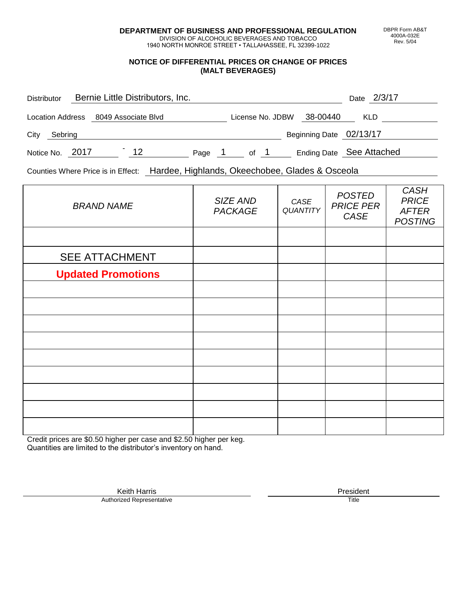**DEPARTMENT OF BUSINESS AND PROFESSIONAL REGULATION** DIVISION OF ALCOHOLIC BEVERAGES AND TOBACCO

1940 NORTH MONROE STREET • TALLAHASSEE, FL 32399-1022

## **NOTICE OF DIFFERENTIAL PRICES OR CHANGE OF PRICES (MALT BEVERAGES)**

| <b>Distributor</b> |  | Bernie Little Distributors, Inc. |        |                  |  |                          |            | Date 2/3/17 |  |
|--------------------|--|----------------------------------|--------|------------------|--|--------------------------|------------|-------------|--|
| Location Address   |  | 8049 Associate Blvd              |        | License No. JDBW |  | 38-00440                 | <b>KLD</b> |             |  |
| City<br>Sebring    |  |                                  |        |                  |  | Beginning Date 02/13/17  |            |             |  |
| Notice No. 2017    |  | 12                               | Page 1 | of 1             |  | Ending Date See Attached |            |             |  |

Counties Where Price is in Effect: Hardee, Highlands, Okeechobee, Glades & Osceola

| <b>BRAND NAME</b>         | SIZE AND<br><b>PACKAGE</b> | CASE<br><b>QUANTITY</b> | <b>POSTED</b><br><b>PRICE PER</b><br>CASE | <b>CASH</b><br><b>PRICE</b><br><b>AFTER</b><br><b>POSTING</b> |
|---------------------------|----------------------------|-------------------------|-------------------------------------------|---------------------------------------------------------------|
|                           |                            |                         |                                           |                                                               |
| <b>SEE ATTACHMENT</b>     |                            |                         |                                           |                                                               |
| <b>Updated Promotions</b> |                            |                         |                                           |                                                               |
|                           |                            |                         |                                           |                                                               |
|                           |                            |                         |                                           |                                                               |
|                           |                            |                         |                                           |                                                               |
|                           |                            |                         |                                           |                                                               |
|                           |                            |                         |                                           |                                                               |
|                           |                            |                         |                                           |                                                               |
|                           |                            |                         |                                           |                                                               |
|                           |                            |                         |                                           |                                                               |
|                           |                            |                         |                                           |                                                               |

Credit prices are \$0.50 higher per case and \$2.50 higher per keg. Quantities are limited to the distributor's inventory on hand.

> Keith Harris **President**<br> **President**<br>
> Prized Representative **President** Authorized Representative

DBPR Form AB&T 4000A-032E Rev. 5/04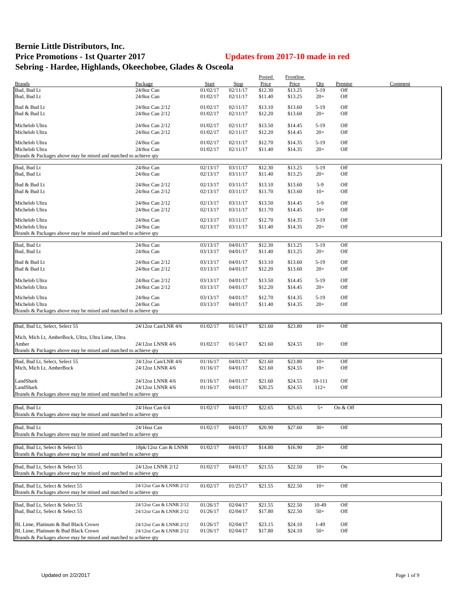## **Bernie Little Distributors, Inc. Price Promotions - 1st Quarter 2017 Updates from 2017-10 made in red Sebring - Hardee, Highlands, Okeechobee, Glades & Osceola**

|                                                                 |                         |              |          | Posted  | Frontline |        |          |         |
|-----------------------------------------------------------------|-------------------------|--------------|----------|---------|-----------|--------|----------|---------|
| <b>Brands</b>                                                   | Package                 | <b>Start</b> | Stop     | Price   | Price     | Qty    | Premise  | Comment |
| Bud, Bud Lt                                                     | 24/8oz Can              | 01/02/17     | 02/11/17 | \$12.30 | \$13.25   | $5-19$ | Off      |         |
| Bud, Bud Lt                                                     | 24/8oz Can              | 01/02/17     | 02/11/17 | \$11.40 | \$13.25   | $20+$  | Off      |         |
|                                                                 |                         |              |          |         |           |        |          |         |
| Bud & Bud Lt                                                    | 24/8oz Can 2/12         | 01/02/17     | 02/11/17 | \$13.10 | \$13.60   | $5-19$ | Off      |         |
| Bud & Bud Lt                                                    | 24/8oz Can 2/12         | 01/02/17     | 02/11/17 | \$12.20 | \$13.60   | $20+$  | Off      |         |
|                                                                 |                         |              |          |         |           |        |          |         |
| Michelob Ultra                                                  | 24/8oz Can 2/12         | 01/02/17     | 02/11/17 | \$13.50 | \$14.45   | $5-19$ | Off      |         |
| Michelob Ultra                                                  | 24/8oz Can 2/12         | 01/02/17     | 02/11/17 | \$12.20 | \$14.45   | $20+$  | Off      |         |
|                                                                 |                         |              |          |         |           |        |          |         |
| Michelob Ultra                                                  | 24/8oz Can              | 01/02/17     | 02/11/17 | \$12.70 | \$14.35   | $5-19$ | Off      |         |
| Michelob Ultra                                                  | 24/8oz Can              | 01/02/17     | 02/11/17 | \$11.40 | \$14.35   | $20+$  | Off      |         |
| Brands & Packages above may be mixed and matched to achieve qty |                         |              |          |         |           |        |          |         |
|                                                                 |                         |              |          |         |           |        |          |         |
| Bud, Bud Lt                                                     | 24/8oz Can              | 02/13/17     | 03/11/17 | \$12.30 | \$13.25   | $5-19$ | Off      |         |
| Bud, Bud Lt                                                     | 24/8oz Can              | 02/13/17     | 03/11/17 | \$11.40 | \$13.25   | $20+$  | Off      |         |
|                                                                 |                         |              |          |         |           |        |          |         |
| Bud & Bud Lt                                                    | 24/8oz Can 2/12         | 02/13/17     | 03/11/17 | \$13.10 | \$13.60   | $5-9$  | Off      |         |
| Bud & Bud Lt                                                    | 24/8oz Can 2/12         | 02/13/17     | 03/11/17 | \$11.70 | \$13.60   | $10+$  | Off      |         |
|                                                                 |                         |              |          |         |           |        |          |         |
| Michelob Ultra                                                  | 24/8oz Can 2/12         | 02/13/17     | 03/11/17 | \$13.50 | \$14.45   | $5-9$  | Off      |         |
| Michelob Ultra                                                  | 24/8oz Can 2/12         | 02/13/17     | 03/11/17 | \$11.70 | \$14.45   | $10+$  | Off      |         |
|                                                                 |                         |              |          |         |           |        |          |         |
| Michelob Ultra                                                  | 24/8oz Can              | 02/13/17     | 03/11/17 | \$12.70 | \$14.35   | $5-19$ | Off      |         |
| Michelob Ultra                                                  | 24/8oz Can              | 02/13/17     | 03/11/17 | \$11.40 | \$14.35   | $20+$  | Off      |         |
| Brands & Packages above may be mixed and matched to achieve qty |                         |              |          |         |           |        |          |         |
|                                                                 |                         |              |          |         |           |        |          |         |
| Bud, Bud Lt                                                     | 24/8oz Can              | 03/13/17     | 04/01/17 | \$12.30 | \$13.25   | $5-19$ | Off      |         |
| Bud, Bud Lt                                                     | 24/8oz Can              | 03/13/17     | 04/01/17 | \$11.40 | \$13.25   | $20+$  | Off      |         |
|                                                                 |                         |              |          |         |           |        |          |         |
| Bud & Bud Lt                                                    | 24/8oz Can 2/12         | 03/13/17     | 04/01/17 | \$13.10 | \$13.60   | $5-19$ | Off      |         |
| Bud & Bud Lt                                                    | 24/8oz Can 2/12         | 03/13/17     | 04/01/17 | \$12.20 | \$13.60   | $20+$  | Off      |         |
|                                                                 |                         |              |          |         |           |        |          |         |
| Michelob Ultra                                                  | 24/8oz Can 2/12         | 03/13/17     | 04/01/17 | \$13.50 | \$14.45   | $5-19$ | Off      |         |
| Michelob Ultra                                                  | 24/8oz Can 2/12         | 03/13/17     | 04/01/17 | \$12.20 | \$14.45   | $20+$  | Off      |         |
|                                                                 |                         |              |          |         |           |        |          |         |
| Michelob Ultra                                                  | 24/8oz Can              | 03/13/17     | 04/01/17 | \$12.70 | \$14.35   | $5-19$ | Off      |         |
| Michelob Ultra                                                  | 24/8oz Can              | 03/13/17     | 04/01/17 | \$11.40 | \$14.35   | $20+$  | Off      |         |
| Brands & Packages above may be mixed and matched to achieve qty |                         |              |          |         |           |        |          |         |
|                                                                 |                         |              |          |         |           |        |          |         |
| Bud, Bud Lt, Select, Select 55                                  | 24/12oz Can/LNR 4/6     | 01/02/17     | 01/14/17 | \$21.60 | \$23.80   | $10+$  | Off      |         |
|                                                                 |                         |              |          |         |           |        |          |         |
| Mich, Mich Lt, AmberBock, Ultra, Ultra Lime, Ultra              |                         |              |          |         |           |        |          |         |
| Amber                                                           | 24/12oz LNNR 4/6        | 01/02/17     | 01/14/17 | \$21.60 | \$24.55   | $10+$  | Off      |         |
| Brands & Packages above may be mixed and matched to achieve qty |                         |              |          |         |           |        |          |         |
|                                                                 |                         |              |          |         |           |        |          |         |
| Bud, Bud Lt, Select, Select 55                                  | 24/12oz Can/LNR 4/6     | 01/16/17     | 04/01/17 | \$21.60 | \$23.80   | $10+$  | Off      |         |
| Mich, Mich Lt, AmberBock                                        | 24/12oz LNNR 4/6        | 01/16/17     | 04/01/17 | \$21.60 | \$24.55   | $10+$  | Off      |         |
|                                                                 |                         |              |          |         |           |        |          |         |
| LandShark                                                       | 24/12oz LNNR 4/6        | 01/16/17     | 04/01/17 | \$21.60 | \$24.55   | 10-111 | Off      |         |
| LandShark                                                       | 24/12oz LNNR 4/6        | 01/16/17     | 04/01/17 | \$20.25 | \$24.55   | $112+$ | Off      |         |
| Brands & Packages above may be mixed and matched to achieve qty |                         |              |          |         |           |        |          |         |
|                                                                 |                         |              |          |         |           |        |          |         |
|                                                                 |                         |              |          |         |           |        |          |         |
| Bud, Bud Lt                                                     | 24/16oz Can 6/4         | 01/02/17     | 04/01/17 | \$22.65 | \$25.65   | $5+$   | On & Off |         |
| Brands & Packages above may be mixed and matched to achieve qty |                         |              |          |         |           |        |          |         |
|                                                                 |                         |              |          |         |           |        |          |         |
| Bud, Bud Lt                                                     | 24/16oz Can             | 01/02/17     | 04/01/17 | \$20.90 | \$27.60   | $30+$  | Off      |         |
| Brands & Packages above may be mixed and matched to achieve gty |                         |              |          |         |           |        |          |         |
|                                                                 |                         |              |          |         |           |        |          |         |
| Bud, Bud Lt, Select & Select 55                                 | 18pk/12oz Can & LNNR    | 01/02/17     | 04/01/17 | \$14.80 | \$16.90   | $20+$  | Off      |         |
| Brands & Packages above may be mixed and matched to achieve qty |                         |              |          |         |           |        |          |         |
|                                                                 |                         |              |          |         |           |        |          |         |
| Bud, Bud Lt, Select & Select 55                                 | 24/12oz LNNR 2/12       | 01/02/17     | 04/01/17 | \$21.55 | \$22.50   | $10+$  | On       |         |
| Brands & Packages above may be mixed and matched to achieve qty |                         |              |          |         |           |        |          |         |
|                                                                 |                         |              |          |         |           |        |          |         |
| Bud, Bud Lt, Select & Select 55                                 | 24/12oz Can & LNNR 2/12 | 01/02/17     | 01/25/17 | \$21.55 | \$22.50   | $10+$  | Off      |         |
| Brands & Packages above may be mixed and matched to achieve qty |                         |              |          |         |           |        |          |         |
|                                                                 |                         |              |          |         |           |        |          |         |
| Bud, Bud Lt, Select & Select 55                                 | 24/12oz Can & LNNR 2/12 | 01/26/17     | 02/04/17 | \$21.55 | \$22.50   | 10-49  | Off      |         |
|                                                                 |                         |              |          |         |           |        |          |         |
| Bud, Bud Lt, Select & Select 55                                 | 24/12oz Can & LNNR 2/12 | 01/26/17     | 02/04/17 | \$17.80 | \$22.50   | $50+$  | Off      |         |
|                                                                 |                         |              |          |         |           |        |          |         |
| BL Lime, Platinum & Bud Black Crown                             | 24/12oz Can & LNNR 2/12 | 01/26/17     | 02/04/17 | \$23.15 | \$24.10   | $1-49$ | Off      |         |
| BL Lime, Platinum & Bud Black Crown                             | 24/12oz Can & LNNR 2/12 | 01/26/17     | 02/04/17 | \$17.80 | \$24.10   | $50+$  | Off      |         |
| Brands & Packages above may be mixed and matched to achieve qty |                         |              |          |         |           |        |          |         |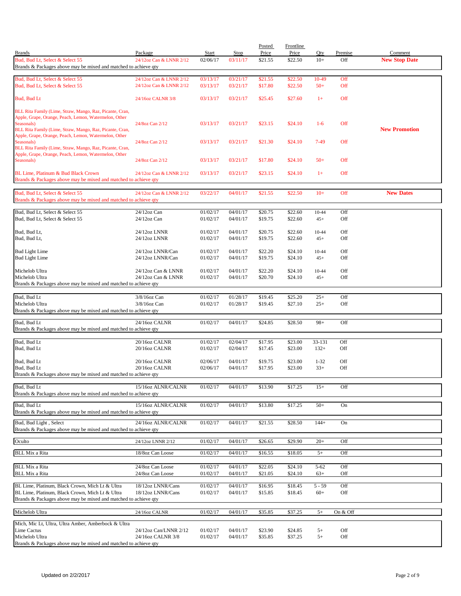|                                                                                                                   |                                        |                          |                      | Posted             | <b>Frontline</b>   |                   |                |                                 |
|-------------------------------------------------------------------------------------------------------------------|----------------------------------------|--------------------------|----------------------|--------------------|--------------------|-------------------|----------------|---------------------------------|
| <b>Brands</b><br>Bud, Bud Lt, Select & Select 55                                                                  | Package<br>24/12oz Can & LNNR 2/12     | <b>Start</b><br>02/06/17 | Stop<br>03/11/17     | Price<br>\$21.55   | Price<br>\$22.50   | Qty<br>$10+$      | Premise<br>Off | Comment<br><b>New Stop Date</b> |
| Brands & Packages above may be mixed and matched to achieve qty                                                   |                                        |                          |                      |                    |                    |                   |                |                                 |
| Bud, Bud Lt, Select & Select 55                                                                                   | 24/12oz Can & LNNR 2/12                | 03/13/17                 | 03/21/17             | \$21.55            | \$22.50            | 10-49             | Off            |                                 |
| Bud, Bud Lt, Select & Select 55                                                                                   | 24/12oz Can & LNNR 2/12                | 03/13/17                 | 03/21/17             | \$17.80            | \$22.50            | $50+$             | Off            |                                 |
| Bud, Bud Lt                                                                                                       | 24/16oz CALNR 3/8                      | 03/13/17                 | 03/21/17             | \$25.45            | \$27.60            | $1+$              | Off            |                                 |
|                                                                                                                   |                                        |                          |                      |                    |                    |                   |                |                                 |
| BLL Rita Family (Lime, Straw, Mango, Raz, Picante, Cran,<br>Apple, Grape, Orange, Peach, Lemon, Watermelon, Other |                                        |                          |                      |                    |                    |                   |                |                                 |
| Seasonals)                                                                                                        | 24/8oz Can 2/12                        | 03/13/17                 | 03/21/17             | \$23.15            | \$24.10            | $1-6$             | Off            |                                 |
| BLL Rita Family (Lime, Straw, Mango, Raz, Picante, Cran,<br>Apple, Grape, Orange, Peach, Lemon, Watermelon, Other |                                        |                          |                      |                    |                    |                   |                | <b>New Promotion</b>            |
| Seasonals)                                                                                                        | 24/8oz Can 2/12                        | 03/13/17                 | 03/21/17             | \$21.30            | \$24.10            | $7-49$            | Off            |                                 |
| BLL Rita Family (Lime, Straw, Mango, Raz, Picante, Cran,<br>Apple, Grape, Orange, Peach, Lemon, Watermelon, Other |                                        |                          |                      |                    |                    |                   |                |                                 |
| Seasonals)                                                                                                        | 24/8oz Can 2/12                        | 03/13/17                 | 03/21/17             | \$17.80            | \$24.10            | $50+$             | Off            |                                 |
| BL Lime, Platinum & Bud Black Crown                                                                               | 24/12oz Can & LNNR 2/12                | 03/13/17                 | 03/21/17             | \$23.15            | \$24.10            | $1+$              | Off            |                                 |
| Brands & Packages above may be mixed and matched to achieve qty                                                   |                                        |                          |                      |                    |                    |                   |                |                                 |
| Bud, Bud Lt, Select & Select 55                                                                                   | 24/12oz Can & LNNR 2/12                | 03/22/17                 | 04/01/17             | \$21.55            | \$22.50            | $10+$             | Off            | <b>New Dates</b>                |
| Brands & Packages above may be mixed and matched to achieve qty                                                   |                                        |                          |                      |                    |                    |                   |                |                                 |
| Bud, Bud Lt, Select & Select 55                                                                                   | 24/12oz Can                            | 01/02/17                 | 04/01/17             |                    |                    |                   | Off            |                                 |
| Bud, Bud Lt, Select & Select 55                                                                                   | $24/12$ oz Can                         | 01/02/17                 | 04/01/17             | \$20.75<br>\$19.75 | \$22.60<br>\$22.60 | 10-44<br>$45+$    | Off            |                                 |
|                                                                                                                   |                                        |                          |                      |                    |                    |                   |                |                                 |
| Bud, Bud Lt,<br>Bud, Bud Lt,                                                                                      | 24/12oz LNNR<br>24/12oz LNNR           | 01/02/17<br>01/02/17     | 04/01/17<br>04/01/17 | \$20.75<br>\$19.75 | \$22.60<br>\$22.60 | 10-44<br>$45+$    | Off<br>Off     |                                 |
|                                                                                                                   |                                        |                          |                      |                    |                    |                   |                |                                 |
| <b>Bud Light Lime</b>                                                                                             | 24/12oz LNNR/Can<br>24/12oz LNNR/Can   | 01/02/17<br>01/02/17     | 04/01/17             | \$22.20<br>\$19.75 | \$24.10<br>\$24.10 | 10-44<br>$45+$    | Off<br>Off     |                                 |
| <b>Bud Light Lime</b>                                                                                             |                                        |                          | 04/01/17             |                    |                    |                   |                |                                 |
| Michelob Ultra                                                                                                    | 24/12oz Can & LNNR                     | 01/02/17                 | 04/01/17             | \$22.20            | \$24.10            | 10-44             | Off            |                                 |
| Michelob Ultra<br>Brands & Packages above may be mixed and matched to achieve qty                                 | 24/12oz Can & LNNR                     | 01/02/17                 | 04/01/17             | \$20.70            | \$24.10            | $45+$             | Off            |                                 |
|                                                                                                                   |                                        |                          |                      |                    |                    |                   |                |                                 |
| Bud, Bud Lt<br>Michelob Ultra                                                                                     | 3/8/16oz Can<br>3/8/16oz Can           | 01/02/17<br>01/02/17     | 01/28/17             | \$19.45            | \$25.20<br>\$27.10 | $25+$<br>$25+$    | Off<br>Off     |                                 |
| Brands & Packages above may be mixed and matched to achieve qty                                                   |                                        |                          | 01/28/17             | \$19.45            |                    |                   |                |                                 |
| Bud, Bud Lt                                                                                                       | 24/16oz CALNR                          | 01/02/17                 | 04/01/17             | \$24.85            | \$28.50            | $98+$             | Off            |                                 |
| Brands & Packages above may be mixed and matched to achieve qty                                                   |                                        |                          |                      |                    |                    |                   |                |                                 |
| Bud, Bud Lt                                                                                                       | 20/16oz CALNR                          | 01/02/17                 | 02/04/17             | \$17.95            | \$23.00            | 33-131            |                |                                 |
| Bud, Bud Lt                                                                                                       | 20/16oz CALNR                          | 01/02/17                 | 02/04/17             | \$17.45            | \$23.00            | $132+$            | Off<br>Off     |                                 |
|                                                                                                                   |                                        |                          |                      |                    |                    |                   |                |                                 |
| Bud, Bud Lt<br>Bud, Bud Lt                                                                                        | 20/16oz CALNR<br>20/16oz CALNR         | 02/06/17<br>02/06/17     | 04/01/17<br>04/01/17 | \$19.75<br>\$17.95 | \$23.00<br>\$23.00 | $1 - 32$<br>$33+$ | Off<br>Off     |                                 |
| Brands & Packages above may be mixed and matched to achieve qty                                                   |                                        |                          |                      |                    |                    |                   |                |                                 |
| Bud, Bud Lt                                                                                                       | 15/16oz ALNR/CALNR                     | 01/02/17                 | 04/01/17             | \$13.90            | \$17.25            | $15+$             | Off            |                                 |
| Brands & Packages above may be mixed and matched to achieve qty                                                   |                                        |                          |                      |                    |                    |                   |                |                                 |
| Bud, Bud Lt                                                                                                       | 15/16oz ALNR/CALNR                     | 01/02/17                 | 04/01/17             | \$13.80            | \$17.25            | $50+$             | On             |                                 |
| Brands & Packages above may be mixed and matched to achieve qty                                                   |                                        |                          |                      |                    |                    |                   |                |                                 |
| Bud, Bud Light, Select                                                                                            | 24/16oz ALNR/CALNR                     | 01/02/17                 | 04/01/17             | \$21.55            | \$28.50            | $144+$            | On             |                                 |
| Brands & Packages above may be mixed and matched to achieve qty                                                   |                                        |                          |                      |                    |                    |                   |                |                                 |
| Oculto                                                                                                            | 24/12oz LNNR 2/12                      | 01/02/17                 | 04/01/17             | \$26.65            | \$29.90            | $20+$             | Off            |                                 |
| <b>BLL Mix a Rita</b>                                                                                             | 18/8oz Can Loose                       | 01/02/17                 | 04/01/17             | \$16.55            | \$18.05            | $5+$              | Off            |                                 |
|                                                                                                                   |                                        |                          |                      |                    |                    |                   |                |                                 |
| <b>BLL Mix a Rita</b><br><b>BLL Mix a Rita</b>                                                                    | 24/8oz Can Loose<br>24/8oz Can Loose   | 01/02/17<br>01/02/17     | 04/01/17<br>04/01/17 | \$22.05<br>\$21.05 | \$24.10<br>\$24.10 | $5 - 62$<br>$63+$ | Off<br>Off     |                                 |
|                                                                                                                   |                                        |                          |                      |                    |                    |                   |                |                                 |
| BL Lime, Platinum, Black Crown, Mich Lt & Ultra<br>BL Lime, Platinum, Black Crown, Mich Lt & Ultra                | 18/12oz LNNR/Cans<br>18/12oz LNNR/Cans | 01/02/17<br>01/02/17     | 04/01/17<br>04/01/17 | \$16.95<br>\$15.85 | \$18.45<br>\$18.45 | $5 - 59$<br>$60+$ | Off<br>Off     |                                 |
| Brands & Packages above may be mixed and matched to achieve qty                                                   |                                        |                          |                      |                    |                    |                   |                |                                 |
| Michelob Ultra                                                                                                    | 24/16oz CALNR                          | 01/02/17                 | 04/01/17             | \$35.85            | \$37.25            | $5+$              | On & Off       |                                 |
|                                                                                                                   |                                        |                          |                      |                    |                    |                   |                |                                 |
| Mich, Mic Lt, Ultra, Ultra Amber, Amberbock & Ultra<br>Lime Cactus                                                | 24/12oz Can/LNNR 2/12                  | 01/02/17                 | 04/01/17             | \$23.90            | \$24.85            | $5+$              | Off            |                                 |
| Michelob Ultra                                                                                                    | 24/16oz CALNR 3/8                      | 01/02/17                 | 04/01/17             | \$35.85            | \$37.25            | $5+$              | Off            |                                 |
| Brands & Packages above may be mixed and matched to achieve qty                                                   |                                        |                          |                      |                    |                    |                   |                |                                 |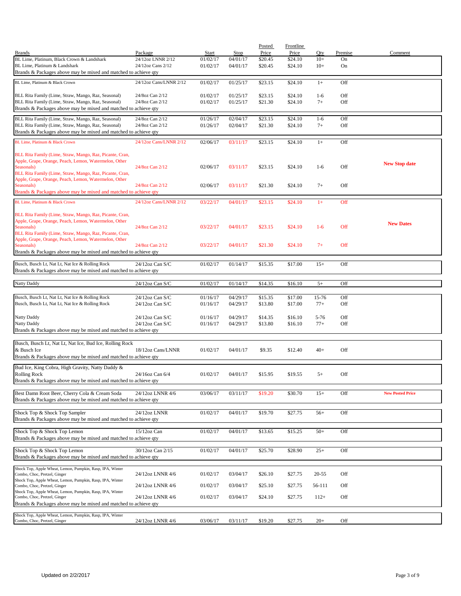|                                                                                                                   |                              |                   |                  | Posted           | Frontline        |              |               |                         |
|-------------------------------------------------------------------------------------------------------------------|------------------------------|-------------------|------------------|------------------|------------------|--------------|---------------|-------------------------|
| <b>Brands</b><br>BL Lime, Platinum, Black Crown & Landshark                                                       | Package<br>24/12oz LNNR 2/12 | Start<br>01/02/17 | Stop<br>04/01/17 | Price<br>\$20.45 | Price<br>\$24.10 | Qty<br>$10+$ | Premise<br>On | Comment                 |
| BL Lime, Platinum & Landshark                                                                                     | 24/12oz Cans 2/12            | 01/02/17          | 04/01/17         | \$20.45          | \$24.10          | $10+$        | On            |                         |
| Brands & Packages above may be mixed and matched to achieve qty                                                   |                              |                   |                  |                  |                  |              |               |                         |
| BL Lime, Platinum & Black Crown                                                                                   | 24/12oz Cans/LNNR 2/12       | 01/02/17          | 01/25/17         | \$23.15          | \$24.10          | $1+$         | Off           |                         |
| BLL Rita Family (Lime, Straw, Mango, Raz, Seasonal)                                                               | 24/8oz Can 2/12              | 01/02/17          | 01/25/17         | \$23.15          | \$24.10          | $1-6$        | Off           |                         |
| BLL Rita Family (Lime, Straw, Mango, Raz, Seasonal)                                                               | 24/8oz Can 2/12              | 01/02/17          | 01/25/17         | \$21.30          | \$24.10          | $7+$         | Off           |                         |
| Brands & Packages above may be mixed and matched to achieve qty                                                   |                              |                   |                  |                  |                  |              |               |                         |
| BLL Rita Family (Lime, Straw, Mango, Raz, Seasonal)                                                               | 24/8oz Can 2/12              | 01/26/17          | 02/04/17         | \$23.15          | \$24.10          | $1-6$        | Off           |                         |
| BLL Rita Family (Lime, Straw, Mango, Raz, Seasonal)                                                               | 24/8oz Can 2/12              | 01/26/17          | 02/04/17         | \$21.30          | \$24.10          | $7+$         | Off           |                         |
| Brands & Packages above may be mixed and matched to achieve qty                                                   |                              |                   |                  |                  |                  |              |               |                         |
| BL Lime, Platinum & Black Crown                                                                                   | 24/12oz Cans/LNNR 2/12       | 02/06/17          | 03/11/17         | \$23.15          | \$24.10          | $1+$         | Off           |                         |
| BLL Rita Family (Lime, Straw, Mango, Raz, Picante, Cran,                                                          |                              |                   |                  |                  |                  |              |               |                         |
| Apple, Grape, Orange, Peach, Lemon, Watermelon, Other                                                             |                              |                   |                  |                  |                  |              |               | <b>New Stop date</b>    |
| Seasonals)                                                                                                        | 24/8oz Can 2/12              | 02/06/17          | 03/11/17         | \$23.15          | \$24.10          | $1-6$        | Off           |                         |
| BLL Rita Family (Lime, Straw, Mango, Raz, Picante, Cran,<br>Apple, Grape, Orange, Peach, Lemon, Watermelon, Other |                              |                   |                  |                  |                  |              |               |                         |
| Seasonals)                                                                                                        | 24/8oz Can 2/12              | 02/06/17          | 03/11/17         | \$21.30          | \$24.10          | $7+$         | Off           |                         |
| Brands & Packages above may be mixed and matched to achieve qty                                                   |                              |                   |                  |                  |                  |              |               |                         |
| BL Lime, Platinum & Black Crown                                                                                   | 24/12oz Cans/LNNR 2/12       | 03/22/17          | 04/01/17         | \$23.15          | \$24.10          | $1+$         | Off           |                         |
|                                                                                                                   |                              |                   |                  |                  |                  |              |               |                         |
| BLL Rita Family (Lime, Straw, Mango, Raz, Picante, Cran,                                                          |                              |                   |                  |                  |                  |              |               |                         |
| Apple, Grape, Orange, Peach, Lemon, Watermelon, Other<br>Seasonals)                                               | 24/8oz Can 2/12              | 03/22/17          | 04/01/17         | \$23.15          | \$24.10          | $1-6$        | Off           | <b>New Dates</b>        |
| BLL Rita Family (Lime, Straw, Mango, Raz, Picante, Cran,                                                          |                              |                   |                  |                  |                  |              |               |                         |
| Apple, Grape, Orange, Peach, Lemon, Watermelon, Other                                                             |                              |                   |                  |                  |                  |              |               |                         |
| Seasonals)<br>Brands & Packages above may be mixed and matched to achieve qty                                     | 24/8oz Can 2/12              | 03/22/17          | 04/01/17         | \$21.30          | \$24.10          | $7+$         | Off           |                         |
|                                                                                                                   |                              |                   |                  |                  |                  |              |               |                         |
| Busch, Busch Lt, Nat Lt, Nat Ice & Rolling Rock                                                                   | 24/12oz Can S/C              | 01/02/17          | 01/14/17         | \$15.35          | \$17.00          | $15+$        | Off           |                         |
| Brands & Packages above may be mixed and matched to achieve qty                                                   |                              |                   |                  |                  |                  |              |               |                         |
| Natty Daddy                                                                                                       | 24/12oz Can S/C              | 01/02/17          | 01/14/17         | \$14.35          | \$16.10          | $5+$         | Off           |                         |
|                                                                                                                   |                              |                   |                  |                  |                  |              |               |                         |
| Busch, Busch Lt, Nat Lt, Nat Ice & Rolling Rock                                                                   | 24/12oz Can S/C              | 01/16/17          | 04/29/17         | \$15.35          | \$17.00          | 15-76        | Off           |                         |
| Busch, Busch Lt, Nat Lt, Nat Ice & Rolling Rock                                                                   | $24/12$ oz Can S/C           | 01/16/17          | 04/29/17         | \$13.80          | \$17.00          | $77+$        | Off           |                         |
| Natty Daddy                                                                                                       | 24/12oz Can S/C              | 01/16/17          | 04/29/17         | \$14.35          | \$16.10          | $5 - 76$     | Off           |                         |
| Natty Daddy                                                                                                       | 24/12oz Can S/C              | 01/16/17          | 04/29/17         | \$13.80          | \$16.10          | $77+$        | Off           |                         |
| Brands & Packages above may be mixed and matched to achieve qty                                                   |                              |                   |                  |                  |                  |              |               |                         |
|                                                                                                                   |                              |                   |                  |                  |                  |              |               |                         |
| Busch, Busch Lt, Nat Lt, Nat Ice, Bud Ice, Rolling Rock                                                           | 18/12oz Cans/LNNR            |                   |                  |                  |                  |              |               |                         |
| & Busch Ice<br>Brands & Packages above may be mixed and matched to achieve qty                                    |                              | 01/02/17          | 04/01/17         | \$9.35           | \$12.40          | $40+$        | Off           |                         |
|                                                                                                                   |                              |                   |                  |                  |                  |              |               |                         |
| Bud Ice, King Cobra, High Gravity, Natty Daddy &                                                                  |                              |                   | 04/01/17         |                  |                  |              |               |                         |
| <b>Rolling Rock</b><br>Brands & Packages above may be mixed and matched to achieve qty                            | 24/16oz Can 6/4              | 01/02/17          |                  | \$15.95          | \$19.55          | $5+$         | Off           |                         |
|                                                                                                                   |                              |                   |                  |                  |                  |              |               |                         |
| Best Damn Root Beer, Cherry Cola & Cream Soda                                                                     | 24/12oz LNNR 4/6             | 03/06/17          | 03/11/17         | \$19.20          | \$30.70          | $15+$        | Off           | <b>New Posted Price</b> |
| Brands & Packages above may be mixed and matched to achieve qty                                                   |                              |                   |                  |                  |                  |              |               |                         |
| Shock Top & Shock Top Sampler                                                                                     | 24/12oz LNNR                 | 01/02/17          | 04/01/17         | \$19.70          | \$27.75          | $56+$        | Off           |                         |
| Brands & Packages above may be mixed and matched to achieve qty                                                   |                              |                   |                  |                  |                  |              |               |                         |
|                                                                                                                   |                              |                   |                  |                  |                  |              |               |                         |
| Shock Top & Shock Top Lemon<br>Brands & Packages above may be mixed and matched to achieve qty                    | 15/12oz Can                  | 01/02/17          | 04/01/17         | \$13.65          | \$15.25          | $50+$        | Off           |                         |
|                                                                                                                   |                              |                   |                  |                  |                  |              |               |                         |
| Shock Top & Shock Top Lemon                                                                                       | 30/12oz Can 2/15             | 01/02/17          | 04/01/17         | \$25.70          | \$28.90          | $25+$        | Off           |                         |
| Brands & Packages above may be mixed and matched to achieve qty                                                   |                              |                   |                  |                  |                  |              |               |                         |
| Shock Top, Apple Wheat, Lemon, Pumpkin, Rasp, IPA, Winter                                                         |                              |                   |                  |                  |                  |              |               |                         |
| Combo, Choc, Pretzel, Ginger                                                                                      | 24/12oz LNNR 4/6             | 01/02/17          | 03/04/17         | \$26.10          | \$27.75          | $20 - 55$    | Off           |                         |
| Shock Top, Apple Wheat, Lemon, Pumpkin, Rasp, IPA, Winter<br>Combo, Choc, Pretzel, Ginger                         | 24/12oz LNNR 4/6             | 01/02/17          | 03/04/17         | \$25.10          | \$27.75          | 56-111       | Off           |                         |
| Shock Top, Apple Wheat, Lemon, Pumpkin, Rasp, IPA, Winter                                                         |                              |                   |                  |                  |                  |              |               |                         |
| Combo, Choc, Pretzel, Ginger                                                                                      | 24/12oz LNNR 4/6             | 01/02/17          | 03/04/17         | \$24.10          | \$27.75          | $112+$       | Off           |                         |
| Brands & Packages above may be mixed and matched to achieve qty                                                   |                              |                   |                  |                  |                  |              |               |                         |
| Shock Top, Apple Wheat, Lemon, Pumpkin, Rasp, IPA, Winter                                                         |                              |                   |                  |                  |                  |              |               |                         |
| Combo, Choc, Pretzel, Ginger                                                                                      | 24/12oz LNNR 4/6             | 03/06/17          | 03/11/17         | \$19.20          | \$27.75          | $20+$        | Off           |                         |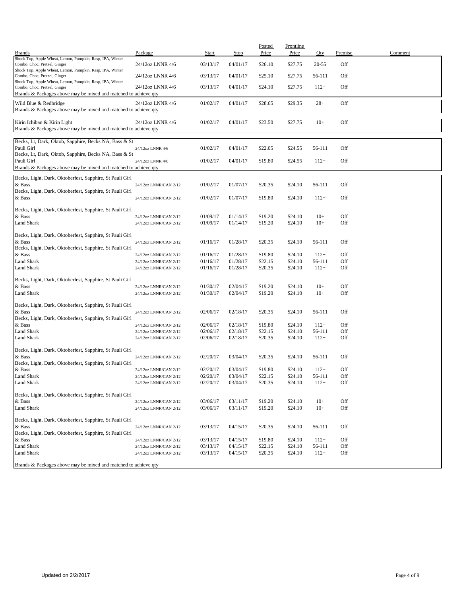| <b>Brands</b>                                                                                   | Package                                        | Start                | <b>Stop</b>          | Posted<br>Price    | Frontline<br>Price | Qty              | Premise    | Comment |
|-------------------------------------------------------------------------------------------------|------------------------------------------------|----------------------|----------------------|--------------------|--------------------|------------------|------------|---------|
| Shock Top, Apple Wheat, Lemon, Pumpkin, Rasp, IPA, Winter                                       |                                                |                      |                      |                    |                    |                  |            |         |
| Combo, Choc, Pretzel, Ginger<br>Shock Top, Apple Wheat, Lemon, Pumpkin, Rasp, IPA, Winter       | 24/12oz LNNR 4/6                               | 03/13/17             | 04/01/17             | \$26.10            | \$27.75            | $20 - 55$        | Off        |         |
| Combo, Choc, Pretzel, Ginger<br>Shock Top, Apple Wheat, Lemon, Pumpkin, Rasp, IPA, Winter       | 24/12oz LNNR 4/6                               | 03/13/17             | 04/01/17             | \$25.10            | \$27.75            | 56-111           | Off        |         |
| Combo, Choc, Pretzel, Ginger<br>Brands & Packages above may be mixed and matched to achieve qty | 24/12oz LNNR 4/6                               | 03/13/17             | 04/01/17             | \$24.10            | \$27.75            | $112+$           | Off        |         |
| Wild Blue & Redbridge<br>Brands & Packages above may be mixed and matched to achieve qty        | 24/12oz LNNR 4/6                               | 01/02/17             | 04/01/17             | \$28.65            | \$29.35            | $28+$            | Off        |         |
| Kirin Ichiban & Kirin Light<br>Brands & Packages above may be mixed and matched to achieve qty  | 24/12oz LNNR 4/6                               | 01/02/17             | 04/01/17             | \$23.50            | \$27.75            | $10+$            | Off        |         |
| Becks, Lt, Dark, Oktob, Sapphire, Becks NA, Bass & St                                           |                                                |                      |                      |                    |                    |                  |            |         |
| Pauli Girl<br>Becks, Lt, Dark, Oktob, Sapphire, Becks NA, Bass & St                             | 24/12oz LNNR 4/6                               | 01/02/17             | 04/01/17             | \$22.05            | \$24.55            | 56-111           | Off        |         |
| Pauli Girl<br>Brands & Packages above may be mixed and matched to achieve qty                   | 24/12oz LNNR 4/6                               | 01/02/17             | 04/01/17             | \$19.80            | \$24.55            | $112+$           | Off        |         |
|                                                                                                 |                                                |                      |                      |                    |                    |                  |            |         |
| Becks, Light, Dark, Oktoberfest, Sapphire, St Pauli Girl<br>& Bass                              | 24/12oz LNNR/CAN 2/12                          | 01/02/17             | 01/07/17             | \$20.35            | \$24.10            | 56-111           | Off        |         |
| Becks, Light, Dark, Oktoberfest, Sapphire, St Pauli Girl<br>& Bass                              | 24/12oz LNNR/CAN 2/12                          | 01/02/17             | 01/07/17             | \$19.80            | \$24.10            | $112+$           | Off        |         |
| Becks, Light, Dark, Oktoberfest, Sapphire, St Pauli Girl                                        |                                                |                      |                      |                    |                    |                  |            |         |
| & Bass                                                                                          | 24/12oz LNNR/CAN 2/12                          | 01/09/17             | 01/14/17             | \$19.20            | \$24.10            | $10+$            | Off        |         |
| Land Shark                                                                                      | 24/12oz LNNR/CAN 2/12                          | 01/09/17             | 01/14/17             | \$19.20            | \$24.10            | $10+$            | Off        |         |
| Becks, Light, Dark, Oktoberfest, Sapphire, St Pauli Girl                                        |                                                |                      |                      |                    |                    |                  |            |         |
| & Bass<br>Becks, Light, Dark, Oktoberfest, Sapphire, St Pauli Girl                              | 24/12oz LNNR/CAN 2/12                          | 01/16/17             | 01/28/17             | \$20.35            | \$24.10            | 56-111           | Off        |         |
| & Bass                                                                                          | 24/12oz LNNR/CAN 2/12                          | 01/16/17             | 01/28/17             | \$19.80            | \$24.10            | $112+$           | Off        |         |
| Land Shark                                                                                      | 24/12oz LNNR/CAN 2/12                          | 01/16/17             | 01/28/17             | \$22.15            | \$24.10            | 56-111           | Off        |         |
| <b>Land Shark</b>                                                                               | 24/12oz LNNR/CAN 2/12                          | 01/16/17             | 01/28/17             | \$20.35            | \$24.10            | $112+$           | Off        |         |
| Becks, Light, Dark, Oktoberfest, Sapphire, St Pauli Girl                                        |                                                |                      |                      |                    |                    |                  |            |         |
| & Bass                                                                                          | 24/12oz LNNR/CAN 2/12                          | 01/30/17             | 02/04/17             | \$19.20            | \$24.10            | $10+$            | Off        |         |
| Land Shark                                                                                      | 24/12oz LNNR/CAN 2/12                          | 01/30/17             | 02/04/17             | \$19.20            | \$24.10            | $10+$            | Off        |         |
| Becks, Light, Dark, Oktoberfest, Sapphire, St Pauli Girl                                        |                                                |                      |                      |                    |                    |                  |            |         |
| & Bass                                                                                          | 24/12oz LNNR/CAN 2/12                          | 02/06/17             | 02/18/17             | \$20.35            | \$24.10            | 56-111           | Off        |         |
| Becks, Light, Dark, Oktoberfest, Sapphire, St Pauli Girl<br>& Bass                              | 24/12oz LNNR/CAN 2/12                          | 02/06/17             | 02/18/17             | \$19.80            | \$24.10            | $112+$           | Off        |         |
| Land Shark                                                                                      | 24/12oz LNNR/CAN 2/12                          | 02/06/17             | 02/18/17             | \$22.15            | \$24.10            | 56-111           | Off        |         |
| Land Shark                                                                                      | 24/12oz LNNR/CAN 2/12                          | 02/06/17             | 02/18/17             | \$20.35            | \$24.10            | $112+$           | Off        |         |
| Becks, Light, Dark, Oktoberfest, Sapphire, St Pauli Girl                                        |                                                |                      |                      |                    |                    |                  |            |         |
| & Bass                                                                                          | 24/12oz LNNR/CAN 2/12                          | 02/20/17             | 03/04/17             | \$20.35            | \$24.10            | 56-111           | Off        |         |
| Becks, Light, Dark, Oktoberfest, Sapphire, St Pauli Girl                                        |                                                |                      |                      |                    |                    |                  |            |         |
| & Bass<br>Land Shark                                                                            | 24/12oz LNNR/CAN 2/12<br>24/12oz LNNR/CAN 2/12 | 02/20/17<br>02/20/17 | 03/04/17<br>03/04/17 | \$19.80<br>\$22.15 | \$24.10<br>\$24.10 | $112+$<br>56-111 | Off<br>Off |         |
| Land Shark                                                                                      | 24/12oz LNNR/CAN 2/12                          | 02/20/17             | 03/04/17             | \$20.35            | \$24.10            | $112+$           | Off        |         |
|                                                                                                 |                                                |                      |                      |                    |                    |                  |            |         |
| Becks, Light, Dark, Oktoberfest, Sapphire, St Pauli Girl<br>& Bass                              | 24/12oz LNNR/CAN 2/12                          | 03/06/17             | 03/11/17             | \$19.20            | \$24.10            | $10+$            | Off        |         |
| Land Shark                                                                                      | 24/12oz LNNR/CAN 2/12                          | 03/06/17             | 03/11/17             | \$19.20            | \$24.10            | $10+$            | Off        |         |
| Becks, Light, Dark, Oktoberfest, Sapphire, St Pauli Girl                                        |                                                |                      |                      |                    |                    |                  |            |         |
| & Bass                                                                                          | 24/12oz LNNR/CAN 2/12                          | 03/13/17             | 04/15/17             | \$20.35            | \$24.10            | 56-111           | Off        |         |
| Becks, Light, Dark, Oktoberfest, Sapphire, St Pauli Girl                                        |                                                |                      |                      |                    |                    |                  |            |         |
| & Bass                                                                                          | 24/12oz LNNR/CAN 2/12                          | 03/13/17             | 04/15/17             | \$19.80            | \$24.10            | $112+$           | Off        |         |
| Land Shark                                                                                      | 24/12oz LNNR/CAN 2/12                          | 03/13/17             | 04/15/17             | \$22.15            | \$24.10            | 56-111           | Off        |         |
| Land Shark                                                                                      | 24/12oz LNNR/CAN 2/12                          | 03/13/17             | 04/15/17             | \$20.35            | \$24.10            | $112+$           | Off        |         |
| Brands & Packages above may be mixed and matched to achieve qty                                 |                                                |                      |                      |                    |                    |                  |            |         |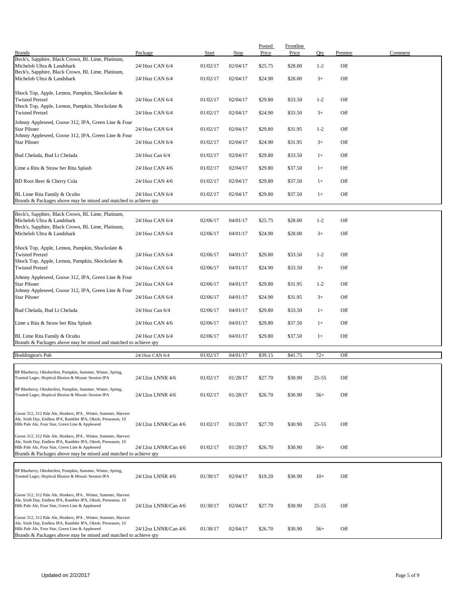| <b>Brands</b>                                                                                                                                                                                                                                            | Package              | Start    | <b>Stop</b> | Posted<br>Price | <b>Frontline</b><br>Price | Qty       | Premise | Comment |
|----------------------------------------------------------------------------------------------------------------------------------------------------------------------------------------------------------------------------------------------------------|----------------------|----------|-------------|-----------------|---------------------------|-----------|---------|---------|
| Beck's, Sapphire, Black Crown, BL Lime, Platinum,<br>Michelob Ultra & Landshark                                                                                                                                                                          | 24/16oz CAN 6/4      | 01/02/17 | 02/04/17    | \$25.75         | \$28.00                   | $1 - 2$   | Off     |         |
| Beck's, Sapphire, Black Crown, BL Lime, Platinum,<br>Michelob Ultra & Landshark                                                                                                                                                                          | 24/16oz CAN 6/4      | 01/02/17 | 02/04/17    | \$24.90         | \$28.00                   | $3+$      | Off     |         |
| Shock Top, Apple, Lemon, Pumpkin, Shockolate &                                                                                                                                                                                                           |                      |          |             |                 |                           |           |         |         |
| <b>Twisted Pretzel</b><br>Shock Top, Apple, Lemon, Pumpkin, Shockolate &                                                                                                                                                                                 | 24/16oz CAN 6/4      | 01/02/17 | 02/04/17    | \$29.80         | \$33.50                   | $1 - 2$   | Off     |         |
| <b>Twisted Pretzel</b><br>Johnny Appleseed, Goose 312, IPA, Green Line & Four                                                                                                                                                                            | 24/16oz CAN 6/4      | 01/02/17 | 02/04/17    | \$24.90         | \$33.50                   | $3+$      | Off     |         |
| <b>Star Pilsner</b><br>Johnny Appleseed, Goose 312, IPA, Green Line & Four                                                                                                                                                                               | 24/16oz CAN 6/4      | 01/02/17 | 02/04/17    | \$29.80         | \$31.95                   | $1 - 2$   | Off     |         |
| <b>Star Pilsner</b>                                                                                                                                                                                                                                      | 24/16oz CAN 6/4      | 01/02/17 | 02/04/17    | \$24.90         | \$31.95                   | $3+$      | Off     |         |
| Bud Chelada, Bud Lt Chelada                                                                                                                                                                                                                              | 24/16oz Can 6/4      | 01/02/17 | 02/04/17    | \$29.80         | \$33.50                   | $1+$      | Off     |         |
| Lime a Rita & Straw ber Rita Splash                                                                                                                                                                                                                      | 24/16oz CAN 4/6      | 01/02/17 | 02/04/17    | \$29.80         | \$37.50                   | $1+$      | Off     |         |
| BD Root Beer & Cherry Cola                                                                                                                                                                                                                               | 24/16oz CAN 4/6      | 01/02/17 | 02/04/17    | \$29.80         | \$37.50                   | $1+$      | Off     |         |
| BL Lime Rita Family & Oculto<br>Brands & Packages above may be mixed and matched to achieve qty                                                                                                                                                          | 24/16oz CAN 6/4      | 01/02/17 | 02/04/17    | \$29.80         | \$37.50                   | $1+$      | Off     |         |
| Beck's, Sapphire, Black Crown, BL Lime, Platinum,                                                                                                                                                                                                        |                      |          |             |                 |                           |           |         |         |
| Michelob Ultra & Landshark<br>Beck's, Sapphire, Black Crown, BL Lime, Platinum,                                                                                                                                                                          | 24/16oz CAN 6/4      | 02/06/17 | 04/01/17    | \$25.75         | \$28.00                   | $1 - 2$   | Off     |         |
| Michelob Ultra & Landshark                                                                                                                                                                                                                               | 24/16oz CAN 6/4      | 02/06/17 | 04/01/17    | \$24.90         | \$28.00                   | $3+$      | Off     |         |
| Shock Top, Apple, Lemon, Pumpkin, Shockolate &<br><b>Twisted Pretzel</b>                                                                                                                                                                                 | 24/16oz CAN 6/4      | 02/06/17 | 04/01/17    | \$29.80         | \$33.50                   | $1 - 2$   | Off     |         |
| Shock Top, Apple, Lemon, Pumpkin, Shockolate &<br><b>Twisted Pretzel</b>                                                                                                                                                                                 | 24/16oz CAN 6/4      | 02/06/17 | 04/01/17    | \$24.90         | \$33.50                   | $3+$      | Off     |         |
| Johnny Appleseed, Goose 312, IPA, Green Line & Four                                                                                                                                                                                                      |                      |          |             |                 |                           |           |         |         |
| <b>Star Pilsner</b><br>Johnny Appleseed, Goose 312, IPA, Green Line & Four                                                                                                                                                                               | 24/16oz CAN 6/4      | 02/06/17 | 04/01/17    | \$29.80         | \$31.95                   | $1 - 2$   | Off     |         |
| <b>Star Pilsner</b>                                                                                                                                                                                                                                      | 24/16oz CAN 6/4      | 02/06/17 | 04/01/17    | \$24.90         | \$31.95                   | $3+$      | Off     |         |
| Bud Chelada, Bud Lt Chelada                                                                                                                                                                                                                              | 24/16oz Can 6/4      | 02/06/17 | 04/01/17    | \$29.80         | \$33.50                   | $1+$      | Off     |         |
| Lime a Rita & Straw ber Rita Splash                                                                                                                                                                                                                      | 24/16oz CAN 4/6      | 02/06/17 | 04/01/17    | \$29.80         | \$37.50                   | $1+$      | Off     |         |
| BL Lime Rita Family & Oculto<br>Brands & Packages above may be mixed and matched to achieve qty                                                                                                                                                          | 24/16oz CAN 6/4      | 02/06/17 | 04/01/17    | \$29.80         | \$37.50                   | $1+$      | Off     |         |
| <b>Boddington's Pub</b>                                                                                                                                                                                                                                  | 24/16oz CAN 6/4      | 01/02/17 | 04/01/17    | \$39.15         | \$41.75                   | $72+$     | Off     |         |
| BP Blueberry, Oktoberfest, Pumpkin, Summer, Winter, Spring,                                                                                                                                                                                              |                      |          |             |                 |                           |           |         |         |
| Toasted Lager, Hoptical Illusion & Mosaic Session IPA                                                                                                                                                                                                    | 24/12oz LNNR 4/6     | 01/02/17 | 01/28/17    | \$27.70         | \$30.90                   | $25 - 55$ | Off     |         |
| BP Blueberry, Oktoberfest, Pumpkin, Summer, Winter, Spring,<br>Toasted Lager, Hoptical Illusion & Mosaic Session IPA                                                                                                                                     | 24/12oz LNNR 4/6     | 01/02/17 | 01/28/17    | \$26.70         | \$30.90                   | $56+$     | Off     |         |
| Goose 312, 312 Pale Ale, Honkers, IPA, Winter, Summer, Harvest                                                                                                                                                                                           |                      |          |             |                 |                           |           |         |         |
| Ale, Sixth Day, Endless IPA, Rambler IPA, Oktob, Preseason, 10<br>Hills Pale Ale, Four Star, Green Line & Appleseed                                                                                                                                      | 24/12oz LNNR/Can 4/6 | 01/02/17 | 01/28/17    | \$27.70         | \$30.90                   | $25 - 55$ | Off     |         |
| Goose 312, 312 Pale Ale, Honkers, IPA, Winter, Summer, Harvest<br>Ale, Sixth Day, Endless IPA, Rambler IPA, Oktob, Preseason, 10<br>Hills Pale Ale, Four Star, Green Line & Appleseed                                                                    | 24/12oz LNNR/Can 4/6 | 01/02/17 | 01/28/17    | \$26.70         | \$30.90                   | $56+$     | Off     |         |
| Brands & Packages above may be mixed and matched to achieve qty                                                                                                                                                                                          |                      |          |             |                 |                           |           |         |         |
| BP Blueberry, Oktoberfest, Pumpkin, Summer, Winter, Spring,<br>Toasted Lager, Hoptical Illusion & Mosaic Session IPA                                                                                                                                     | 24/12oz LNNR 4/6     | 01/30/17 | 02/04/17    | \$19.20         | \$30.90                   | $10+$     | Off     |         |
| Goose 312, 312 Pale Ale, Honkers, IPA, Winter, Summer, Harvest<br>Ale, Sixth Day, Endless IPA, Rambler IPA, Oktob, Preseason, 10<br>Hills Pale Ale, Four Star, Green Line & Appleseed                                                                    | 24/12oz LNNR/Can 4/6 | 01/30/17 | 02/04/17    | \$27.70         | \$30.90                   | $25 - 55$ | Off     |         |
| Goose 312, 312 Pale Ale, Honkers, IPA, Winter, Summer, Harvest<br>Ale, Sixth Day, Endless IPA, Rambler IPA, Oktob, Preseason, 10<br>Hills Pale Ale, Four Star, Green Line & Appleseed<br>Brands & Packages above may be mixed and matched to achieve qty | 24/12oz LNNR/Can 4/6 | 01/30/17 | 02/04/17    | \$26.70         | \$30.90                   | $56+$     | Off     |         |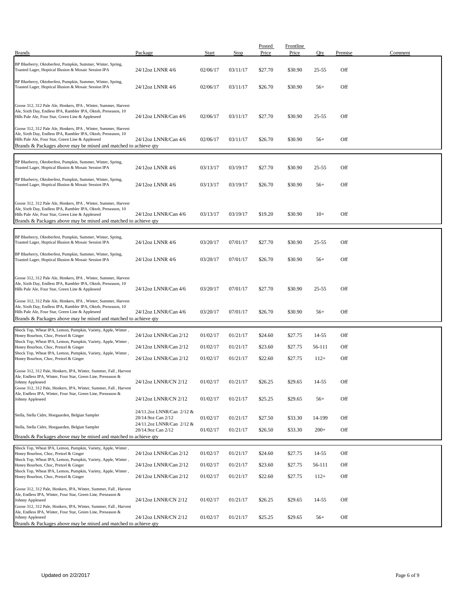| <b>Brands</b>                                                                                                                                                                                                                                            | Package                                         | Start    | Stop     | Posted<br>Price | <b>Frontline</b><br>Price | Oty       | Premise | Comment |
|----------------------------------------------------------------------------------------------------------------------------------------------------------------------------------------------------------------------------------------------------------|-------------------------------------------------|----------|----------|-----------------|---------------------------|-----------|---------|---------|
| BP Blueberry, Oktoberfest, Pumpkin, Summer, Winter, Spring,<br>Toasted Lager, Hoptical Illusion & Mosaic Session IPA                                                                                                                                     | 24/12oz LNNR 4/6                                | 02/06/17 | 03/11/17 | \$27.70         | \$30.90                   | $25 - 55$ | Off     |         |
| BP Blueberry, Oktoberfest, Pumpkin, Summer, Winter, Spring,<br>Toasted Lager, Hoptical Illusion & Mosaic Session IPA                                                                                                                                     | 24/12oz LNNR 4/6                                | 02/06/17 | 03/11/17 | \$26.70         | \$30.90                   | $56+$     | Off     |         |
| Goose 312, 312 Pale Ale, Honkers, IPA, Winter, Summer, Harvest<br>Ale, Sixth Day, Endless IPA, Rambler IPA, Oktob, Preseason, 10<br>Hills Pale Ale, Four Star, Green Line & Appleseed                                                                    | 24/12oz LNNR/Can 4/6                            | 02/06/17 | 03/11/17 | \$27.70         | \$30.90                   | $25 - 55$ | Off     |         |
| Goose 312, 312 Pale Ale, Honkers, IPA, Winter, Summer, Harvest<br>Ale, Sixth Day, Endless IPA, Rambler IPA, Oktob, Preseason, 10<br>Hills Pale Ale, Four Star, Green Line & Appleseed<br>Brands & Packages above may be mixed and matched to achieve qty | 24/12oz LNNR/Can 4/6                            | 02/06/17 | 03/11/17 | \$26.70         | \$30.90                   | $56+$     | Off     |         |
| BP Blueberry, Oktoberfest, Pumpkin, Summer, Winter, Spring,<br>Toasted Lager, Hoptical Illusion & Mosaic Session IPA                                                                                                                                     | 24/12oz LNNR 4/6                                | 03/13/17 | 03/19/17 | \$27.70         | \$30.90                   | $25 - 55$ | Off     |         |
| BP Blueberry, Oktoberfest, Pumpkin, Summer, Winter, Spring,<br>Toasted Lager, Hoptical Illusion & Mosaic Session IPA                                                                                                                                     | 24/12oz LNNR 4/6                                | 03/13/17 | 03/19/17 | \$26.70         | \$30.90                   | $56+$     | Off     |         |
| Goose 312, 312 Pale Ale, Honkers, IPA, Winter, Summer, Harvest<br>Ale, Sixth Day, Endless IPA, Rambler IPA, Oktob, Preseason, 10<br>Hills Pale Ale, Four Star, Green Line & Appleseed<br>Brands & Packages above may be mixed and matched to achieve qty | 24/12oz LNNR/Can 4/6                            | 03/13/17 | 03/19/17 | \$19.20         | \$30.90                   | $10+$     | Off     |         |
| BP Blueberry, Oktoberfest, Pumpkin, Summer, Winter, Spring,<br>Toasted Lager, Hoptical Illusion & Mosaic Session IPA                                                                                                                                     | 24/12oz LNNR 4/6                                | 03/20/17 | 07/01/17 | \$27.70         | \$30.90                   | 25-55     | Off     |         |
| BP Blueberry, Oktoberfest, Pumpkin, Summer, Winter, Spring,<br>Toasted Lager, Hoptical Illusion & Mosaic Session IPA                                                                                                                                     | 24/12oz LNNR 4/6                                | 03/20/17 | 07/01/17 | \$26.70         | \$30.90                   | $56+$     | Off     |         |
| Goose 312, 312 Pale Ale, Honkers, IPA, Winter, Summer, Harvest<br>Ale, Sixth Day, Endless IPA, Rambler IPA, Oktob, Preseason, 10<br>Hills Pale Ale, Four Star, Green Line & Appleseed                                                                    | 24/12oz LNNR/Can 4/6                            | 03/20/17 | 07/01/17 | \$27.70         | \$30.90                   | $25 - 55$ | Off     |         |
| Goose 312, 312 Pale Ale, Honkers, IPA, Winter, Summer, Harvest<br>Ale, Sixth Day, Endless IPA, Rambler IPA, Oktob, Preseason, 10<br>Hills Pale Ale, Four Star, Green Line & Appleseed<br>Brands & Packages above may be mixed and matched to achieve qty | 24/12oz LNNR/Can 4/6                            | 03/20/17 | 07/01/17 | \$26.70         | \$30.90                   | $56+$     | Off     |         |
| Shock Top, Wheat IPA, Lemon, Pumpkin, Variety, Apple, Winter,<br>Honey Bourbon, Choc, Pretzel & Ginger                                                                                                                                                   | 24/12oz LNNR/Can 2/12                           | 01/02/17 | 01/21/17 | \$24.60         | \$27.75                   | 14-55     | Off     |         |
| Shock Top, Wheat IPA, Lemon, Pumpkin, Variety, Apple, Winter,<br>Honey Bourbon, Choc, Pretzel & Ginger                                                                                                                                                   | 24/12oz LNNR/Can 2/12                           | 01/02/17 | 01/21/17 | \$23.60         | \$27.75                   | 56-111    | Off     |         |
| Shock Top, Wheat IPA, Lemon, Pumpkin, Variety, Apple, Winter,<br>Honey Bourbon, Choc, Pretzel & Ginger                                                                                                                                                   | 24/12oz LNNR/Can 2/12                           | 01/02/17 | 01/21/17 | \$22.60         | \$27.75                   | $112+$    | Off     |         |
| Goose 312, 312 Pale, Honkers, IPA, Winter, Summer, Fall, Harvest                                                                                                                                                                                         |                                                 |          |          |                 |                           |           |         |         |
| Ale, Endless IPA, Winter, Four Star, Green Line, Preseason &<br>Johnny Appleseed<br>Goose 312, 312 Pale, Honkers, IPA, Winter, Summer, Fall, Harvest                                                                                                     | 24/12oz LNNR/CN 2/12                            | 01/02/17 | 01/21/17 | \$26.25         | \$29.65                   | 14-55     | OĦ      |         |
| Ale, Endless IPA, Winter, Four Star, Green Line, Preseason &<br>Johnny Appleseed                                                                                                                                                                         | 24/12oz LNNR/CN 2/12                            | 01/02/17 | 01/21/17 | \$25.25         | \$29.65                   | $56+$     | Off     |         |
| Stella, Stella Cidre, Hoegaarden, Belgian Sampler                                                                                                                                                                                                        | 24/11.2oz LNNR/Can 2/12 &<br>20/14.9oz Can 2/12 | 01/02/17 | 01/21/17 | \$27.50         | \$33.30                   | 14-199    | Off     |         |
| Stella, Stella Cidre, Hoegaarden, Belgian Sampler                                                                                                                                                                                                        | 24/11.2oz LNNR/Can 2/12 &<br>20/14.9oz Can 2/12 | 01/02/17 | 01/21/17 | \$26.50         | \$33.30                   | $200+$    | Off     |         |
| Brands & Packages above may be mixed and matched to achieve qty                                                                                                                                                                                          |                                                 |          |          |                 |                           |           |         |         |
| Shock Top, Wheat IPA, Lemon, Pumpkin, Variety, Apple, Winter,<br>Honey Bourbon, Choc, Pretzel & Ginger                                                                                                                                                   | 24/12oz LNNR/Can 2/12                           | 01/02/17 | 01/21/17 | \$24.60         | \$27.75                   | 14-55     | Off     |         |
| Shock Top, Wheat IPA, Lemon, Pumpkin, Variety, Apple, Winter,<br>Honey Bourbon, Choc, Pretzel & Ginger                                                                                                                                                   | 24/12oz LNNR/Can 2/12                           | 01/02/17 | 01/21/17 | \$23.60         | \$27.75                   | 56-111    | Off     |         |
| Shock Top, Wheat IPA, Lemon, Pumpkin, Variety, Apple, Winter,<br>Honey Bourbon, Choc, Pretzel & Ginger                                                                                                                                                   | 24/12oz LNNR/Can 2/12                           | 01/02/17 | 01/21/17 | \$22.60         | \$27.75                   | $112+$    | Off     |         |
| Goose 312, 312 Pale, Honkers, IPA, Winter, Summer, Fall, Harvest<br>Ale, Endless IPA, Winter, Four Star, Green Line, Preseason &<br>Johnny Appleseed<br>Goose 312, 312 Pale, Honkers, IPA, Winter, Summer, Fall, Harvest                                 | 24/12oz LNNR/CN 2/12                            | 01/02/17 | 01/21/17 | \$26.25         | \$29.65                   | 14-55     | Off     |         |
| Ale, Endless IPA, Winter, Four Star, Green Line, Preseason &<br>Johnny Appleseed<br>Brands & Packages above may be mixed and matched to achieve qty                                                                                                      | 24/12oz LNNR/CN 2/12                            | 01/02/17 | 01/21/17 | \$25.25         | \$29.65                   | $56+$     | Off     |         |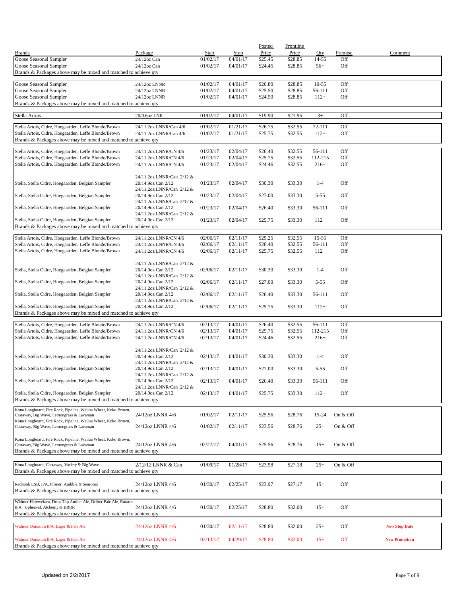|                                                                                                              |                                                 |                      |                      | Posted             | Frontline          |                   |            |                      |
|--------------------------------------------------------------------------------------------------------------|-------------------------------------------------|----------------------|----------------------|--------------------|--------------------|-------------------|------------|----------------------|
| <b>Brands</b>                                                                                                | Package                                         | Start                | Stop                 | Price              | Price              | Qty               | Premise    | Comment              |
| Goose Seasonal Sampler                                                                                       | 24/12oz Can                                     | 01/02/17             | 04/01/17<br>04/01/17 | \$25.45            | \$28.85            | 14-55             | Off<br>Off |                      |
| Goose Seasonal Sampler<br>Brands & Packages above may be mixed and matched to achieve qty                    | 24/12oz Can                                     | 01/02/17             |                      | \$24.45            | \$28.85            | $56+$             |            |                      |
|                                                                                                              |                                                 |                      |                      |                    |                    |                   |            |                      |
| Goose Seasonal Sampler                                                                                       | 24/12oz LNNR                                    | 01/02/17             | 04/01/17             | \$26.80            | \$28.85            | $10 - 55$         | Off        |                      |
| Goose Seasonal Sampler                                                                                       | 24/12oz LNNR                                    | 01/02/17             | 04/01/17             | \$25.50            | \$28.85            | 56-111            | Off        |                      |
| Goose Seasonal Sampler                                                                                       | 24/12oz LNNR                                    | 01/02/17             | 04/01/17             | \$24.50            | \$28.85            | $112+$            | Off        |                      |
| Brands & Packages above may be mixed and matched to achieve qty                                              |                                                 |                      |                      |                    |                    |                   |            |                      |
| Stella Artois                                                                                                | 20/9.6oz LNR                                    | 01/02/17             | 04/01/17             | \$19.90            | \$21.95            | $3+$              | Off        |                      |
| Stella Artois, Cidre, Hoegaarden, Leffe Blonde/Brown                                                         | 24/11.2oz LNNR/Can 4/6                          | 01/02/17             | 01/21/17             | \$26.75            | \$32.55            | 72-111            | Off        |                      |
| Stella Artois, Cidre, Hoegaarden, Leffe Blonde/Brown                                                         | 24/11.2oz LNNR/Can 4/6                          | 01/02/17             | 01/21/17             | \$25.75            | \$32.55            | $112+$            | Off        |                      |
| Brands & Packages above may be mixed and matched to achieve qty                                              |                                                 |                      |                      |                    |                    |                   |            |                      |
| Stella Artois, Cidre, Hoegaarden, Leffe Blonde/Brown                                                         | 24/11.2oz LNNR/CN 4/6                           | 01/23/17             | 02/04/17             | \$26.40            | \$32.55            | 56-111            | Off        |                      |
| Stella Artois, Cidre, Hoegaarden, Leffe Blonde/Brown                                                         | 24/11.2oz LNNR/CN 4/6                           | 01/23/17             | 02/04/17             | \$25.75            | \$32.55            | 112-215           | Off        |                      |
| Stella Artois, Cidre, Hoegaarden, Leffe Blonde/Brown                                                         | 24/11.2oz LNNR/CN 4/6                           | 01/23/17             | 02/04/17             | \$24.46            | \$32.55            | $216+$            | Off        |                      |
|                                                                                                              |                                                 |                      |                      |                    |                    |                   |            |                      |
|                                                                                                              | 24/11.2oz LNNR/Can 2/12 &                       |                      |                      |                    |                    |                   |            |                      |
| Stella, Stella Cidre, Hoegaarden, Belgian Sampler                                                            | 20/14.9oz Can 2/12                              | 01/23/17             | 02/04/17             | \$30.30            | \$33.30            | $1 - 4$           | Off        |                      |
| Stella, Stella Cidre, Hoegaarden, Belgian Sampler                                                            | 24/11.2oz LNNR/Can 2/12 &<br>20/14.9oz Can 2/12 | 01/23/17             | 02/04/17             | \$27.00            | \$33.30            | $5 - 55$          | Off        |                      |
|                                                                                                              | 24/11.2oz LNNR/Can 2/12 &                       |                      |                      |                    |                    |                   |            |                      |
| Stella, Stella Cidre, Hoegaarden, Belgian Sampler                                                            | 20/14.9oz Can 2/12                              | 01/23/17             | 02/04/17             | \$26.40            | \$33.30            | 56-111            | Off        |                      |
|                                                                                                              | 24/11.2oz LNNR/Can 2/12 &                       |                      |                      |                    |                    |                   |            |                      |
| Stella, Stella Cidre, Hoegaarden, Belgian Sampler                                                            | 20/14.9oz Can 2/12                              | 01/23/17             | 02/04/17             | \$25.75            | \$33.30            | $112+$            | Off        |                      |
| Brands & Packages above may be mixed and matched to achieve qty                                              |                                                 |                      |                      |                    |                    |                   |            |                      |
| Stella Artois, Cidre, Hoegaarden, Leffe Blonde/Brown                                                         | 24/11.2oz LNNR/CN 4/6                           | 02/06/17             | 02/11/17             | \$29.25            | \$32.55            | $15 - 55$         | Off        |                      |
| Stella Artois, Cidre, Hoegaarden, Leffe Blonde/Brown                                                         | 24/11.2oz LNNR/CN 4/6                           | 02/06/17             | 02/11/17             | \$26.40            | \$32.55            | 56-111            | Off        |                      |
| Stella Artois, Cidre, Hoegaarden, Leffe Blonde/Brown                                                         | 24/11.2oz LNNR/CN 4/6                           | 02/06/17             | 02/11/17             | \$25.75            | \$32.55            | $112+$            | Off        |                      |
|                                                                                                              |                                                 |                      |                      |                    |                    |                   |            |                      |
| Stella, Stella Cidre, Hoegaarden, Belgian Sampler                                                            | 24/11.2oz LNNR/Can 2/12 &<br>20/14.9oz Can 2/12 | 02/06/17             | 02/11/17             | \$30.30            | \$33.30            | $1 - 4$           | Off        |                      |
|                                                                                                              | 24/11.2oz LNNR/Can 2/12 &                       |                      |                      |                    |                    |                   |            |                      |
| Stella, Stella Cidre, Hoegaarden, Belgian Sampler                                                            | 20/14.9oz Can 2/12                              | 02/06/17             | 02/11/17             | \$27.00            | \$33.30            | $5 - 55$          | Off        |                      |
|                                                                                                              | 24/11.2oz LNNR/Can 2/12 &                       |                      |                      |                    |                    |                   |            |                      |
| Stella, Stella Cidre, Hoegaarden, Belgian Sampler                                                            | 20/14.9oz Can 2/12<br>24/11.2oz LNNR/Can 2/12 & | 02/06/17             | 02/11/17             | \$26.40            | \$33.30            | 56-111            | Off        |                      |
| Stella, Stella Cidre, Hoegaarden, Belgian Sampler                                                            | 20/14.9oz Can 2/12                              | 02/06/17             | 02/11/17             | \$25.75            | \$33.30            | $112+$            | Off        |                      |
| Brands & Packages above may be mixed and matched to achieve qty                                              |                                                 |                      |                      |                    |                    |                   |            |                      |
|                                                                                                              |                                                 |                      |                      |                    |                    |                   | Off        |                      |
| Stella Artois, Cidre, Hoegaarden, Leffe Blonde/Brown<br>Stella Artois, Cidre, Hoegaarden, Leffe Blonde/Brown | 24/11.2oz LNNR/CN 4/6                           | 02/13/17             | 04/01/17<br>04/01/17 | \$26.40<br>\$25.75 | \$32.55<br>\$32.55 | 56-111<br>112-215 | Off        |                      |
| Stella Artois, Cidre, Hoegaarden, Leffe Blonde/Brown                                                         | 24/11.2oz LNNR/CN 4/6<br>24/11.2oz LNNR/CN 4/6  | 02/13/17<br>02/13/17 | 04/01/17             | \$24.46            | \$32.55            | $216+$            | Off        |                      |
|                                                                                                              |                                                 |                      |                      |                    |                    |                   |            |                      |
|                                                                                                              | 24/11.2oz LNNR/Can 2/12 &                       |                      |                      |                    |                    |                   |            |                      |
| Stella, Stella Cidre, Hoegaarden, Belgian Sampler                                                            | 20/14.9oz Can 2/12                              | 02/13/17             | 04/01/17             | \$30.30            | \$33.30            | $1 - 4$           | Off        |                      |
|                                                                                                              | 24/11.2oz LNNR/Can 2/12 &                       |                      |                      |                    |                    |                   |            |                      |
| Stella, Stella Cidre, Hoegaarden, Belgian Sampler                                                            | 20/14.9oz Can 2/12<br>24/11.2oz LNNR/Can 2/12 & | 02/13/17             | 04/01/17             | \$27.00            | \$33.30            | $5 - 55$          | Off        |                      |
| Stella, Stella Cidre, Hoegaarden, Belgian Sampler                                                            | 20/14.9oz Can 2/12                              | 02/13/17             | 04/01/17             | \$26.40            | \$33.30            | 56-111            | Off        |                      |
|                                                                                                              | 24/11.2oz LNNR/Can 2/12 &                       |                      |                      |                    |                    |                   |            |                      |
| Stella, Stella Cidre, Hoegaarden, Belgian Sampler                                                            | 20/14.9oz Can 2/12                              | 02/13/17             | 04/01/17             | \$25.75            | \$33.30            | $112+$            | Off        |                      |
| Brands & Packages above may be mixed and matched to achieve qty                                              |                                                 |                      |                      |                    |                    |                   |            |                      |
| Kona Longboard, Fire Rock, Pipeline, Wailua Wheat, Koko Brown,                                               |                                                 |                      |                      |                    |                    |                   |            |                      |
| Castaway, Big Wave, Lemongrass & Lavaman<br>Kona Longboard, Fire Rock, Pipeline, Wailua Wheat, Koko Brown,   | 24/12oz LNNR 4/6                                | 01/02/17             | 02/11/17             | \$25.56            | \$28.76            | 15-24             | On & Off   |                      |
| Castaway, Big Wave, Lemongrass & Lavaman                                                                     | 24/12oz LNNR 4/6                                | 01/02/17             | 02/11/17             | \$23.56            | \$28.76            | $25+$             | On & Off   |                      |
|                                                                                                              |                                                 |                      |                      |                    |                    |                   |            |                      |
| Kona Longboard, Fire Rock, Pipeline, Wailua Wheat, Koko Brown,                                               |                                                 |                      |                      |                    |                    |                   |            |                      |
| Castaway, Big Wave, Lemongrass & Lavaman<br>Brands & Packages above may be mixed and matched to achieve qty  | 24/12oz LNNR 4/6                                | 02/27/17             | 04/01/17             | \$25.56            | \$28.76            | $15+$             | On & Off   |                      |
|                                                                                                              |                                                 |                      |                      |                    |                    |                   |            |                      |
| Kona Longboard, Castaway, Variety & Big Wave                                                                 | 2/12/12 LNNR & Can                              | 01/09/17             | 01/28/17             | \$23.98            | \$27.18            | $25+$             | On & Off   |                      |
| Brands & Packages above may be mixed and matched to achieve qty                                              |                                                 |                      |                      |                    |                    |                   |            |                      |
|                                                                                                              |                                                 |                      |                      |                    |                    |                   |            |                      |
| Redhook ESB, IPA, Pilsner, Audible & Seasonal                                                                | 24/12oz LNNR 4/6                                | 01/30/17             | 02/25/17             | \$23.97            | \$27.17            | $15+$             | Off        |                      |
| Brands & Packages above may be mixed and matched to achieve qty                                              |                                                 |                      |                      |                    |                    |                   |            |                      |
| Widmer Hefeweizen, Drop Top Amber Ale, Drifter Pale Ale, Rotator                                             |                                                 |                      |                      |                    |                    |                   |            |                      |
| IPA, Upheaval, Alchemy & BRRR                                                                                | 24/12oz LNNR 4/6                                | 01/30/17             | 02/25/17             | \$28.80            | \$32.00            | $15+$             | Off        |                      |
| Brands & Packages above may be mixed and matched to achieve qty                                              |                                                 |                      |                      |                    |                    |                   |            |                      |
| Widmer Omission IPA, Lager & Pale Ale                                                                        | 24/12oz LNNR 4/6                                | 01/30/17             | 02/11/17             | \$28.80            | \$32.00            | $25+$             | Off        | <b>New Stop Date</b> |
|                                                                                                              |                                                 |                      |                      |                    |                    |                   |            |                      |
| Widmer Omission IPA, Lager & Pale Ale                                                                        | 24/12oz LNNR 4/6                                | 02/13/17             | 04/29/17             | \$28.80            | \$32.00            | $15+$             | Off        | <b>New Promotion</b> |
| Brands & Packages above may be mixed and matched to achieve qty                                              |                                                 |                      |                      |                    |                    |                   |            |                      |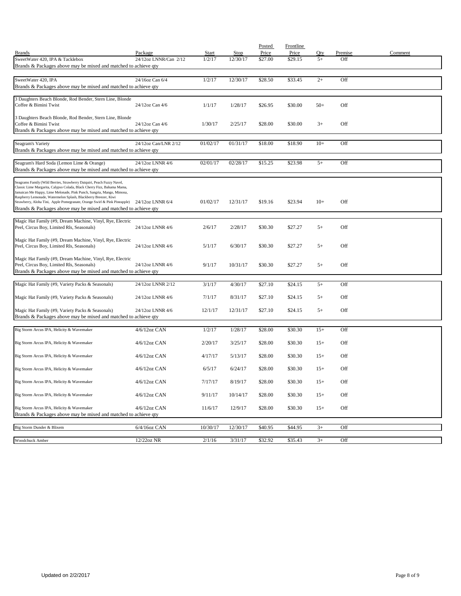|                                                                                                                                                  |                       |          |          | Posted  | Frontline |       |         |         |
|--------------------------------------------------------------------------------------------------------------------------------------------------|-----------------------|----------|----------|---------|-----------|-------|---------|---------|
| <b>Brands</b>                                                                                                                                    | Package               | Start    | Stop     | Price   | Price     | Qty   | Premise | Comment |
| SweetWater 420, IPA & Tacklebox<br>Brands & Packages above may be mixed and matched to achieve qty                                               | 24/12oz LNNR/Can 2/12 | 1/2/17   | 12/30/17 | \$27.00 | \$29.15   | $5+$  | Off     |         |
|                                                                                                                                                  |                       |          |          |         |           |       |         |         |
| SweetWater 420, IPA                                                                                                                              | 24/16oz Can 6/4       | 1/2/17   | 12/30/17 | \$28.50 | \$33.45   | $2+$  | Off     |         |
| Brands & Packages above may be mixed and matched to achieve qty                                                                                  |                       |          |          |         |           |       |         |         |
|                                                                                                                                                  |                       |          |          |         |           |       |         |         |
| 3 Daughters Beach Blonde, Rod Bender, Stern Line, Blonde<br>Coffee & Bimini Twist                                                                | 24/12oz Can 4/6       | 1/1/17   | 1/28/17  | \$26.95 | \$30.00   | $50+$ | Off     |         |
|                                                                                                                                                  |                       |          |          |         |           |       |         |         |
| 3 Daughters Beach Blonde, Rod Bender, Stern Line, Blonde                                                                                         |                       |          |          |         |           |       |         |         |
| Coffee & Bimini Twist                                                                                                                            | 24/12oz Can 4/6       | 1/30/17  | 2/25/17  | \$28.00 | \$30.00   | $3+$  | Off     |         |
| Brands & Packages above may be mixed and matched to achieve qty                                                                                  |                       |          |          |         |           |       |         |         |
| Seagram's Variety                                                                                                                                | 24/12oz Can/LNR 2/12  | 01/02/17 | 01/31/17 | \$18.00 | \$18.90   | $10+$ | Off     |         |
| Brands & Packages above may be mixed and matched to achieve qty                                                                                  |                       |          |          |         |           |       |         |         |
|                                                                                                                                                  |                       |          |          |         |           |       |         |         |
| Seagram's Hard Soda (Lemon Lime & Orange)                                                                                                        | 24/12oz LNNR 4/6      | 02/01/17 | 02/28/17 | \$15.25 | \$23.98   | $5+$  | Off     |         |
| Brands & Packages above may be mixed and matched to achieve qty                                                                                  |                       |          |          |         |           |       |         |         |
| Seagrams Family (Wild Berries, Strawberry Daiquiri, Peach Fuzzy Navel,                                                                           |                       |          |          |         |           |       |         |         |
| Classic Lime Margarita, Calypso Colada, Black Cherry Fizz, Bahama Mama,<br>Jamaican Me Happy, Lime Melonade, Pink Punch, Sangria, Mango, Mimosa, |                       |          |          |         |           |       |         |         |
| Raspberry Lemonade, Watermelon Splash, Blackberry Breezer, Kiwi                                                                                  |                       |          |          |         |           |       |         |         |
| Strawberry, Aloha Tini, Apple Pomegranate, Orange Swirl & Pink Pineapple)                                                                        | 24/12oz LNNR 6/4      | 01/02/17 | 12/31/17 | \$19.16 | \$23.94   | $10+$ | Off     |         |
| Brands & Packages above may be mixed and matched to achieve qty                                                                                  |                       |          |          |         |           |       |         |         |
| Magic Hat Family (#9, Dream Machine, Vinyl, Rye, Electric                                                                                        |                       |          |          |         |           |       |         |         |
| Peel, Circus Boy, Limited Rls, Seasonals)                                                                                                        | 24/12oz LNNR 4/6      | 2/6/17   | 2/28/17  | \$30.30 | \$27.27   | $5+$  | Off     |         |
|                                                                                                                                                  |                       |          |          |         |           |       |         |         |
| Magic Hat Family (#9, Dream Machine, Vinyl, Rye, Electric<br>Peel, Circus Boy, Limited Rls, Seasonals)                                           | 24/12oz LNNR 4/6      | 5/1/17   | 6/30/17  | \$30.30 | \$27.27   | $5+$  | Off     |         |
|                                                                                                                                                  |                       |          |          |         |           |       |         |         |
| Magic Hat Family (#9, Dream Machine, Vinyl, Rye, Electric                                                                                        |                       |          |          |         |           |       |         |         |
| Peel, Circus Boy, Limited Rls, Seasonals)                                                                                                        | 24/12oz LNNR 4/6      | 9/1/17   | 10/31/17 | \$30.30 | \$27.27   | $5+$  | Off     |         |
| Brands & Packages above may be mixed and matched to achieve qty                                                                                  |                       |          |          |         |           |       |         |         |
| Magic Hat Family (#9, Variety Packs & Seasonals)                                                                                                 | 24/12oz LNNR 2/12     | 3/1/17   | 4/30/17  | \$27.10 | \$24.15   | $5+$  | Off     |         |
|                                                                                                                                                  |                       |          |          |         |           |       |         |         |
| Magic Hat Family (#9, Variety Packs & Seasonals)                                                                                                 | 24/12oz LNNR 4/6      | 7/1/17   | 8/31/17  | \$27.10 | \$24.15   | $5+$  | Off     |         |
| Magic Hat Family (#9, Variety Packs & Seasonals)                                                                                                 | 24/12oz LNNR 4/6      | 12/1/17  | 12/31/17 | \$27.10 | \$24.15   | $5+$  | Off     |         |
| Brands & Packages above may be mixed and matched to achieve qty                                                                                  |                       |          |          |         |           |       |         |         |
|                                                                                                                                                  |                       |          |          |         |           |       |         |         |
| Big Storm Arcus IPA, Helicity & Wavemaker                                                                                                        | 4/6/12oz CAN          | 1/2/17   | 1/28/17  | \$28.00 | \$30.30   | $15+$ | Off     |         |
|                                                                                                                                                  |                       |          |          |         |           |       |         |         |
| Big Storm Arcus IPA, Helicity & Wavemaker                                                                                                        | $4/6/12$ oz CAN       | 2/20/17  | 3/25/17  | \$28.00 | \$30.30   | $15+$ | Off     |         |
| Big Storm Arcus IPA, Helicity & Wavemaker                                                                                                        | $4/6/12$ oz CAN       | 4/17/17  | 5/13/17  | \$28.00 | \$30.30   | $15+$ | Off     |         |
|                                                                                                                                                  |                       |          |          |         |           |       |         |         |
| Big Storm Arcus IPA, Helicity & Wavemaker                                                                                                        | $4/6/12$ oz CAN       | 6/5/17   | 6/24/17  | \$28.00 | \$30.30   | $15+$ | Off     |         |
|                                                                                                                                                  |                       |          |          |         |           |       |         |         |
| Big Storm Arcus IPA, Helicity & Wavemaker                                                                                                        | 4/6/12oz CAN          | 7/17/17  | 8/19/17  | \$28.00 | \$30.30   | $15+$ | Off     |         |
| Big Storm Arcus IPA, Helicity & Wavemaker                                                                                                        | 4/6/12oz CAN          | 9/11/17  | 10/14/17 | \$28.00 | \$30.30   | $15+$ | Off     |         |
|                                                                                                                                                  |                       |          |          |         |           |       |         |         |
| Big Storm Arcus IPA, Helicity & Wavemaker                                                                                                        | 4/6/12oz CAN          | 11/6/17  | 12/9/17  | \$28.00 | \$30.30   | $15+$ | Off     |         |
| Brands & Packages above may be mixed and matched to achieve qty                                                                                  |                       |          |          |         |           |       |         |         |
| Big Storm Dunder & Blixem                                                                                                                        | 6/4/16oz CAN          | 10/30/17 | 12/30/17 | \$40.95 | \$44.95   | $3+$  | Off     |         |
|                                                                                                                                                  |                       |          |          |         |           |       |         |         |
| Woodchuck Amber                                                                                                                                  | 12/22oz NR            | 2/1/16   | 3/31/17  | \$32.92 | \$35.43   | $3+$  | Off     |         |